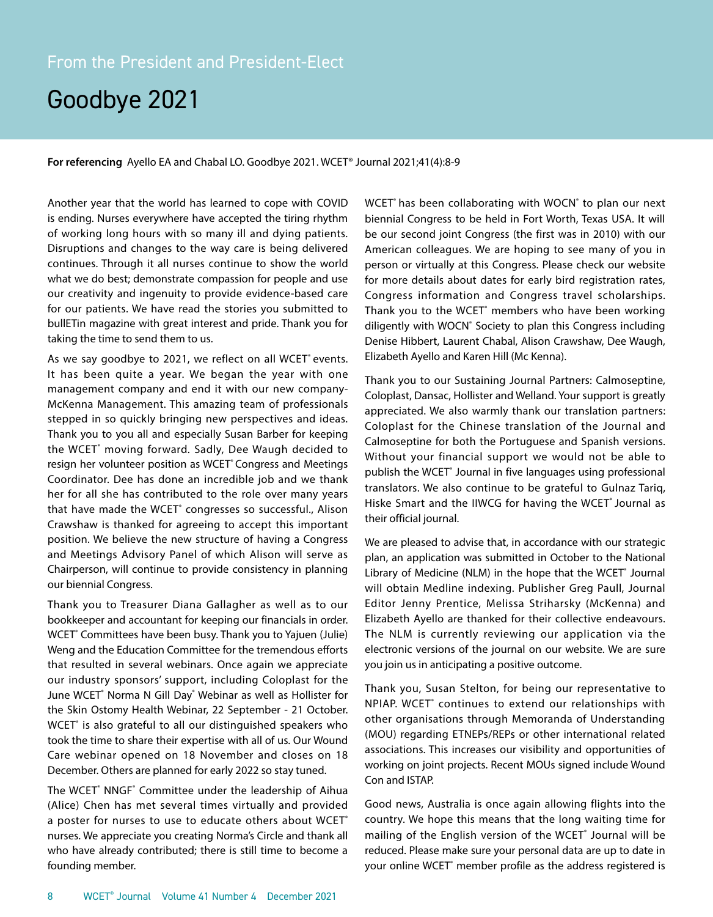# Goodbye 2021

**For referencing** Ayello EA and Chabal LO. Goodbye 2021. WCET® Journal 2021;41(4):8-9

Another year that the world has learned to cope with COVID is ending. Nurses everywhere have accepted the tiring rhythm of working long hours with so many ill and dying patients. Disruptions and changes to the way care is being delivered continues. Through it all nurses continue to show the world what we do best; demonstrate compassion for people and use our creativity and ingenuity to provide evidence-based care for our patients. We have read the stories you submitted to bullETin magazine with great interest and pride. Thank you for taking the time to send them to us.

As we say goodbye to 2021, we reflect on all WCET<sup>®</sup> events. It has been quite a year. We began the year with one management company and end it with our new company-McKenna Management. This amazing team of professionals stepped in so quickly bringing new perspectives and ideas. Thank you to you all and especially Susan Barber for keeping the WCET® moving forward. Sadly, Dee Waugh decided to resign her volunteer position as WCET® Congress and Meetings Coordinator. Dee has done an incredible job and we thank her for all she has contributed to the role over many years that have made the WCET® congresses so successful., Alison Crawshaw is thanked for agreeing to accept this important position. We believe the new structure of having a Congress and Meetings Advisory Panel of which Alison will serve as Chairperson, will continue to provide consistency in planning our biennial Congress.

Thank you to Treasurer Diana Gallagher as well as to our bookkeeper and accountant for keeping our financials in order. WCET<sup>®</sup> Committees have been busy. Thank you to Yajuen (Julie) Weng and the Education Committee for the tremendous efforts that resulted in several webinars. Once again we appreciate our industry sponsors' support, including Coloplast for the June WCET<sup>®</sup> Norma N Gill Day<sup>®</sup> Webinar as well as Hollister for the Skin Ostomy Health Webinar, 22 September - 21 October. WCET<sup>®</sup> is also grateful to all our distinguished speakers who took the time to share their expertise with all of us. Our Wound Care webinar opened on 18 November and closes on 18 December. Others are planned for early 2022 so stay tuned.

The WCET<sup>®</sup> NNGF<sup>®</sup> Committee under the leadership of Aihua (Alice) Chen has met several times virtually and provided a poster for nurses to use to educate others about WCET<sup>®</sup> nurses. We appreciate you creating Norma's Circle and thank all who have already contributed; there is still time to become a founding member.

WCET<sup>®</sup> has been collaborating with WOCN<sup>®</sup> to plan our next biennial Congress to be held in Fort Worth, Texas USA. It will be our second joint Congress (the first was in 2010) with our American colleagues. We are hoping to see many of you in person or virtually at this Congress. Please check our website for more details about dates for early bird registration rates, Congress information and Congress travel scholarships. Thank you to the WCET<sup>®</sup> members who have been working diligently with WOCN<sup>®</sup> Society to plan this Congress including Denise Hibbert, Laurent Chabal, Alison Crawshaw, Dee Waugh, Elizabeth Ayello and Karen Hill (Mc Kenna).

Thank you to our Sustaining Journal Partners: Calmoseptine, Coloplast, Dansac, Hollister and Welland. Your support is greatly appreciated. We also warmly thank our translation partners: Coloplast for the Chinese translation of the Journal and Calmoseptine for both the Portuguese and Spanish versions. Without your financial support we would not be able to publish the WCET<sup>®</sup> Journal in five languages using professional translators. We also continue to be grateful to Gulnaz Tariq, Hiske Smart and the IIWCG for having the WCET® Journal as their official journal.

We are pleased to advise that, in accordance with our strategic plan, an application was submitted in October to the National Library of Medicine (NLM) in the hope that the WCET<sup>®</sup> Journal will obtain Medline indexing. Publisher Greg Paull, Journal Editor Jenny Prentice, Melissa Striharsky (McKenna) and Elizabeth Ayello are thanked for their collective endeavours. The NLM is currently reviewing our application via the electronic versions of the journal on our website. We are sure you join us in anticipating a positive outcome.

Thank you, Susan Stelton, for being our representative to NPIAP. WCET<sup>®</sup> continues to extend our relationships with other organisations through Memoranda of Understanding (MOU) regarding ETNEPs/REPs or other international related associations. This increases our visibility and opportunities of working on joint projects. Recent MOUs signed include Wound Con and ISTAP.

Good news, Australia is once again allowing flights into the country. We hope this means that the long waiting time for mailing of the English version of the WCET<sup>®</sup> Journal will be reduced. Please make sure your personal data are up to date in your online WCET<sup>®</sup> member profile as the address registered is